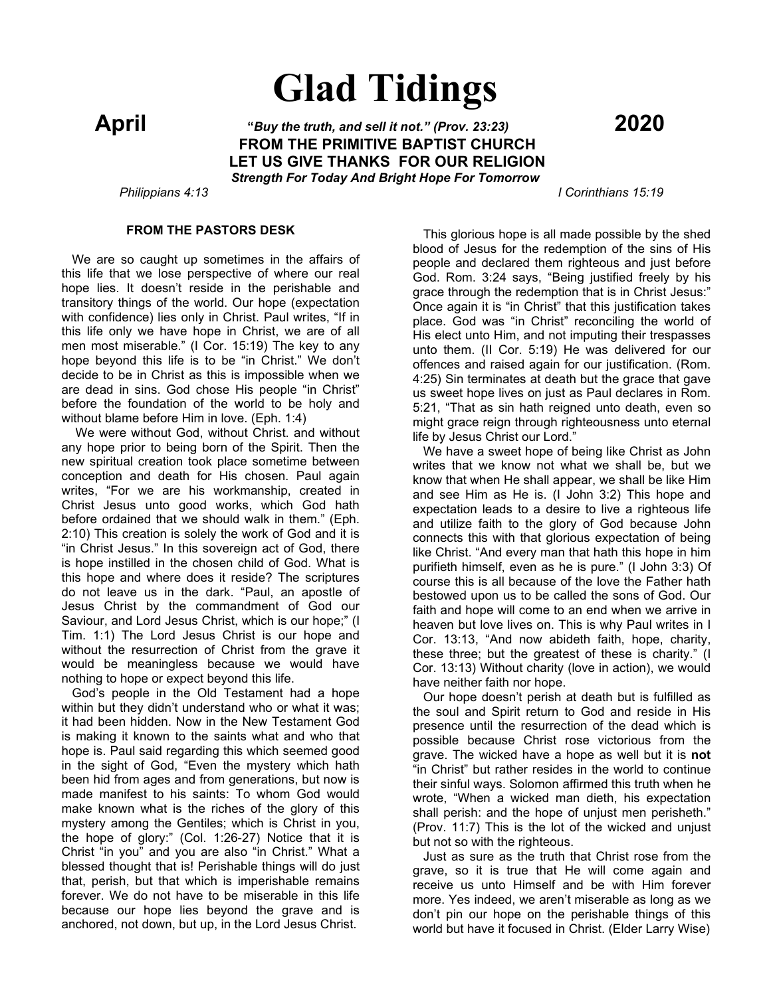# **Glad Tidings**

 **April "***Buy the truth, and sell it not." (Prov. 23:23)* **<sup>2020</sup> FROM THE PRIMITIVE BAPTIST CHURCH LET US GIVE THANKS FOR OUR RELIGION** *Strength For Today And Bright Hope For Tomorrow*

 *Philippians 4:13 I Corinthians 15:19*

#### **FROM THE PASTORS DESK**

 We are so caught up sometimes in the affairs of this life that we lose perspective of where our real hope lies. It doesn't reside in the perishable and transitory things of the world. Our hope (expectation with confidence) lies only in Christ. Paul writes, "If in this life only we have hope in Christ, we are of all men most miserable." (I Cor. 15:19) The key to any hope beyond this life is to be "in Christ." We don't decide to be in Christ as this is impossible when we are dead in sins. God chose His people "in Christ" before the foundation of the world to be holy and without blame before Him in love. (Eph. 1:4)

 We were without God, without Christ. and without any hope prior to being born of the Spirit. Then the new spiritual creation took place sometime between conception and death for His chosen. Paul again writes, "For we are his workmanship, created in Christ Jesus unto good works, which God hath before ordained that we should walk in them." (Eph. 2:10) This creation is solely the work of God and it is "in Christ Jesus." In this sovereign act of God, there is hope instilled in the chosen child of God. What is this hope and where does it reside? The scriptures do not leave us in the dark. "Paul, an apostle of Jesus Christ by the commandment of God our Saviour, and Lord Jesus Christ, which is our hope;" (I Tim. 1:1) The Lord Jesus Christ is our hope and without the resurrection of Christ from the grave it would be meaningless because we would have nothing to hope or expect beyond this life.

 God's people in the Old Testament had a hope within but they didn't understand who or what it was; it had been hidden. Now in the New Testament God is making it known to the saints what and who that hope is. Paul said regarding this which seemed good in the sight of God, "Even the mystery which hath been hid from ages and from generations, but now is made manifest to his saints: To whom God would make known what is the riches of the glory of this mystery among the Gentiles; which is Christ in you, the hope of glory:" (Col. 1:26-27) Notice that it is Christ "in you" and you are also "in Christ." What a blessed thought that is! Perishable things will do just that, perish, but that which is imperishable remains forever. We do not have to be miserable in this life because our hope lies beyond the grave and is anchored, not down, but up, in the Lord Jesus Christ.

 This glorious hope is all made possible by the shed blood of Jesus for the redemption of the sins of His people and declared them righteous and just before God. Rom. 3:24 says, "Being justified freely by his grace through the redemption that is in Christ Jesus:" Once again it is "in Christ" that this justification takes place. God was "in Christ" reconciling the world of His elect unto Him, and not imputing their trespasses unto them. (II Cor. 5:19) He was delivered for our offences and raised again for our justification. (Rom. 4:25) Sin terminates at death but the grace that gave us sweet hope lives on just as Paul declares in Rom. 5:21, "That as sin hath reigned unto death, even so might grace reign through righteousness unto eternal life by Jesus Christ our Lord."

 We have a sweet hope of being like Christ as John writes that we know not what we shall be, but we know that when He shall appear, we shall be like Him and see Him as He is. (I John 3:2) This hope and expectation leads to a desire to live a righteous life and utilize faith to the glory of God because John connects this with that glorious expectation of being like Christ. "And every man that hath this hope in him purifieth himself, even as he is pure." (I John 3:3) Of course this is all because of the love the Father hath bestowed upon us to be called the sons of God. Our faith and hope will come to an end when we arrive in heaven but love lives on. This is why Paul writes in I Cor. 13:13, "And now abideth faith, hope, charity, these three; but the greatest of these is charity." (I Cor. 13:13) Without charity (love in action), we would have neither faith nor hope.

 Our hope doesn't perish at death but is fulfilled as the soul and Spirit return to God and reside in His presence until the resurrection of the dead which is possible because Christ rose victorious from the grave. The wicked have a hope as well but it is **not** "in Christ" but rather resides in the world to continue their sinful ways. Solomon affirmed this truth when he wrote, "When a wicked man dieth, his expectation shall perish: and the hope of unjust men perisheth." (Prov. 11:7) This is the lot of the wicked and unjust but not so with the righteous.

 Just as sure as the truth that Christ rose from the grave, so it is true that He will come again and receive us unto Himself and be with Him forever more. Yes indeed, we aren't miserable as long as we don't pin our hope on the perishable things of this world but have it focused in Christ. (Elder Larry Wise)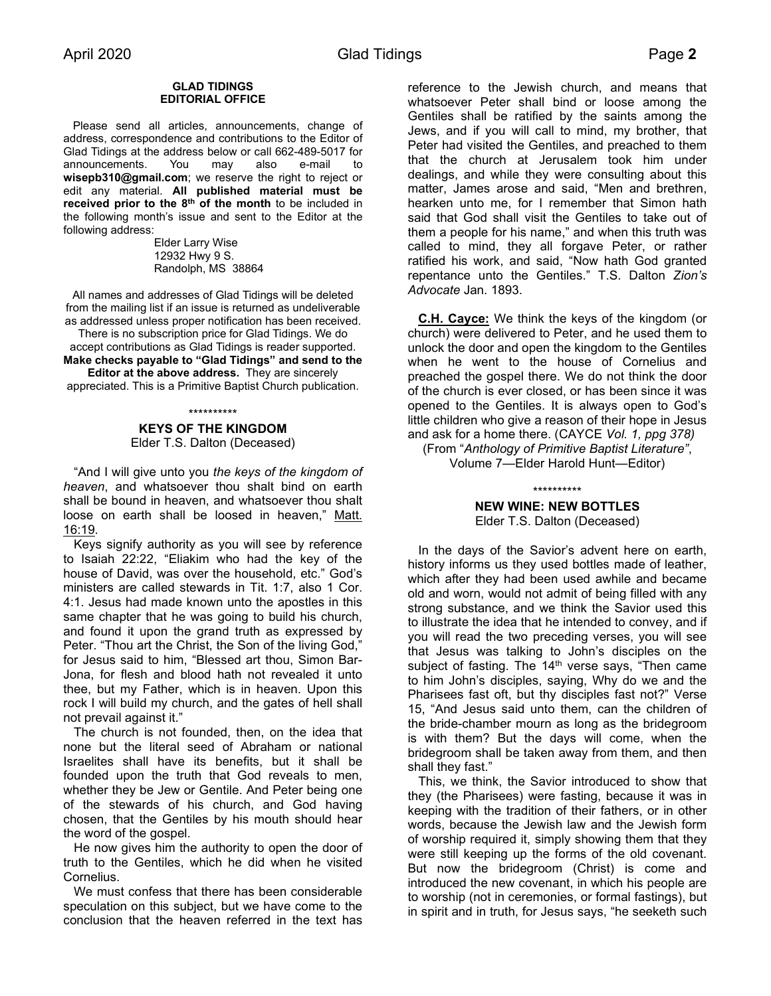#### **GLAD TIDINGS EDITORIAL OFFICE**

 Please send all articles, announcements, change of address, correspondence and contributions to the Editor of Glad Tidings at the address below or call 662-489-5017 for announcements. You may also e-mail to **wisepb310@gmail.com**; we reserve the right to reject or edit any material. **All published material must be received prior to the 8th of the month** to be included in the following month's issue and sent to the Editor at the following address:

> Elder Larry Wise 12932 Hwy 9 S. Randolph, MS 38864

All names and addresses of Glad Tidings will be deleted from the mailing list if an issue is returned as undeliverable as addressed unless proper notification has been received. There is no subscription price for Glad Tidings. We do accept contributions as Glad Tidings is reader supported. **Make checks payable to "Glad Tidings" and send to the Editor at the above address.** They are sincerely

appreciated. This is a Primitive Baptist Church publication.

#### \*\*\*\*\*\*\*\*\*\* **KEYS OF THE KINGDOM** Elder T.S. Dalton (Deceased)

 "And I will give unto you *the keys of the kingdom of heaven*, and whatsoever thou shalt bind on earth shall be bound in heaven, and whatsoever thou shalt loose on earth shall be loosed in heaven," Matt. 16:19.

 Keys signify authority as you will see by reference to Isaiah 22:22, "Eliakim who had the key of the house of David, was over the household, etc." God's ministers are called stewards in Tit. 1:7, also 1 Cor. 4:1. Jesus had made known unto the apostles in this same chapter that he was going to build his church, and found it upon the grand truth as expressed by Peter. "Thou art the Christ, the Son of the living God," for Jesus said to him, "Blessed art thou, Simon Bar-Jona, for flesh and blood hath not revealed it unto thee, but my Father, which is in heaven. Upon this rock I will build my church, and the gates of hell shall not prevail against it."

 The church is not founded, then, on the idea that none but the literal seed of Abraham or national Israelites shall have its benefits, but it shall be founded upon the truth that God reveals to men, whether they be Jew or Gentile. And Peter being one of the stewards of his church, and God having chosen, that the Gentiles by his mouth should hear the word of the gospel.

 He now gives him the authority to open the door of truth to the Gentiles, which he did when he visited Cornelius.

 We must confess that there has been considerable speculation on this subject, but we have come to the conclusion that the heaven referred in the text has

reference to the Jewish church, and means that whatsoever Peter shall bind or loose among the Gentiles shall be ratified by the saints among the Jews, and if you will call to mind, my brother, that Peter had visited the Gentiles, and preached to them that the church at Jerusalem took him under dealings, and while they were consulting about this matter, James arose and said, "Men and brethren, hearken unto me, for I remember that Simon hath said that God shall visit the Gentiles to take out of them a people for his name," and when this truth was called to mind, they all forgave Peter, or rather ratified his work, and said, "Now hath God granted repentance unto the Gentiles." T.S. Dalton *Zion's Advocate* Jan. 1893.

 **C.H. Cayce:** We think the keys of the kingdom (or church) were delivered to Peter, and he used them to unlock the door and open the kingdom to the Gentiles when he went to the house of Cornelius and preached the gospel there. We do not think the door of the church is ever closed, or has been since it was opened to the Gentiles. It is always open to God's little children who give a reason of their hope in Jesus and ask for a home there. (CAYCE *Vol. 1, ppg 378)*

(From "*Anthology of Primitive Baptist Literature"*, Volume 7—Elder Harold Hunt—Editor)

> \*\*\*\*\*\*\*\*\*\* **NEW WINE: NEW BOTTLES** Elder T.S. Dalton (Deceased)

 In the days of the Savior's advent here on earth, history informs us they used bottles made of leather, which after they had been used awhile and became old and worn, would not admit of being filled with any strong substance, and we think the Savior used this to illustrate the idea that he intended to convey, and if you will read the two preceding verses, you will see that Jesus was talking to John's disciples on the subject of fasting. The  $14<sup>th</sup>$  verse says, "Then came to him John's disciples, saying, Why do we and the Pharisees fast oft, but thy disciples fast not?" Verse 15, "And Jesus said unto them, can the children of the bride-chamber mourn as long as the bridegroom is with them? But the days will come, when the bridegroom shall be taken away from them, and then shall they fast."

 This, we think, the Savior introduced to show that they (the Pharisees) were fasting, because it was in keeping with the tradition of their fathers, or in other words, because the Jewish law and the Jewish form of worship required it, simply showing them that they were still keeping up the forms of the old covenant. But now the bridegroom (Christ) is come and introduced the new covenant, in which his people are to worship (not in ceremonies, or formal fastings), but in spirit and in truth, for Jesus says, "he seeketh such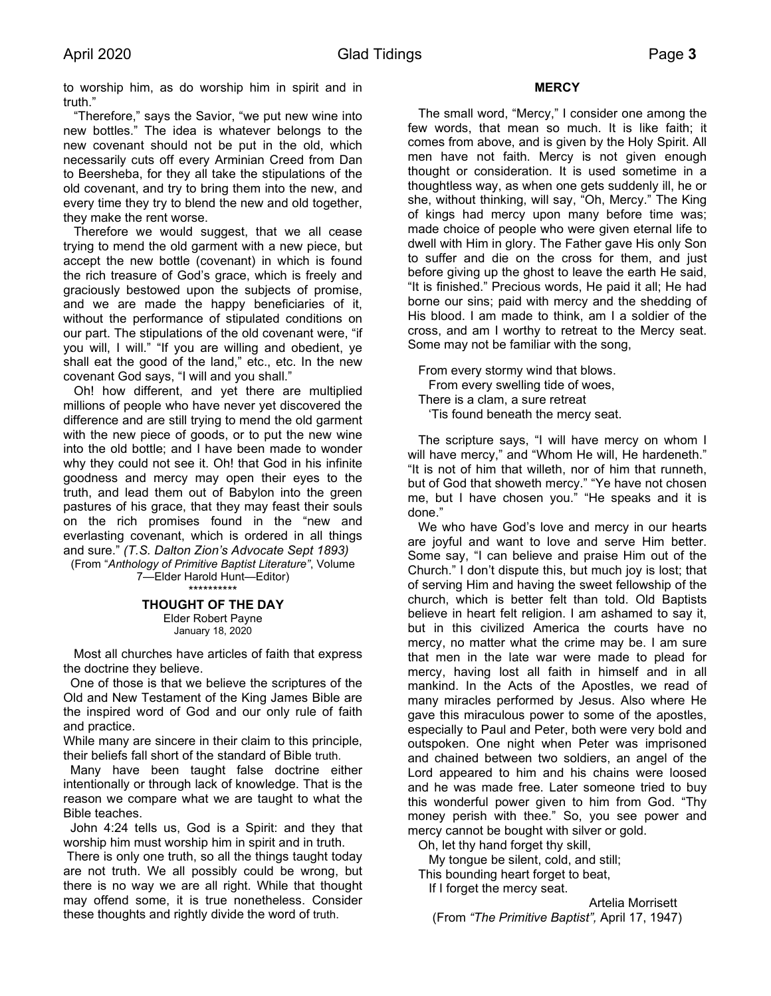to worship him, as do worship him in spirit and in truth."

 "Therefore," says the Savior, "we put new wine into new bottles." The idea is whatever belongs to the new covenant should not be put in the old, which necessarily cuts off every Arminian Creed from Dan to Beersheba, for they all take the stipulations of the old covenant, and try to bring them into the new, and every time they try to blend the new and old together, they make the rent worse.

 Therefore we would suggest, that we all cease trying to mend the old garment with a new piece, but accept the new bottle (covenant) in which is found the rich treasure of God's grace, which is freely and graciously bestowed upon the subjects of promise, and we are made the happy beneficiaries of it, without the performance of stipulated conditions on our part. The stipulations of the old covenant were, "if you will, I will." "If you are willing and obedient, ye shall eat the good of the land," etc., etc. In the new covenant God says, "I will and you shall."

 Oh! how different, and yet there are multiplied millions of people who have never yet discovered the difference and are still trying to mend the old garment with the new piece of goods, or to put the new wine into the old bottle; and I have been made to wonder why they could not see it. Oh! that God in his infinite goodness and mercy may open their eyes to the truth, and lead them out of Babylon into the green pastures of his grace, that they may feast their souls on the rich promises found in the "new and everlasting covenant, which is ordered in all things and sure." *(T.S. Dalton Zion's Advocate Sept 1893)*

(From "*Anthology of Primitive Baptist Literature"*, Volume 7—Elder Harold Hunt—Editor) \*\*\*\*\*\*\*\*\*\*

#### **THOUGHT OF THE DAY** Elder Robert Payne January 18, 2020

 Most all churches have articles of faith that express the doctrine they believe.

One of those is that we believe the scriptures of the Old and New Testament of the King James Bible are the inspired word of God and our only rule of faith and practice.

While many are sincere in their claim to this principle, their beliefs fall short of the standard of Bible truth.

Many have been taught false doctrine either intentionally or through lack of knowledge. That is the reason we compare what we are taught to what the Bible teaches.

 John 4:24 tells us, God is a Spirit: and they that worship him must worship him in spirit and in truth.

There is only one truth, so all the things taught today are not truth. We all possibly could be wrong, but there is no way we are all right. While that thought may offend some, it is true nonetheless. Consider these thoughts and rightly divide the word of truth.

# **MERCY**

 The small word, "Mercy," I consider one among the few words, that mean so much. It is like faith; it comes from above, and is given by the Holy Spirit. All men have not faith. Mercy is not given enough thought or consideration. It is used sometime in a thoughtless way, as when one gets suddenly ill, he or she, without thinking, will say, "Oh, Mercy." The King of kings had mercy upon many before time was; made choice of people who were given eternal life to dwell with Him in glory. The Father gave His only Son to suffer and die on the cross for them, and just before giving up the ghost to leave the earth He said, "It is finished." Precious words, He paid it all; He had borne our sins; paid with mercy and the shedding of His blood. I am made to think, am I a soldier of the cross, and am I worthy to retreat to the Mercy seat. Some may not be familiar with the song,

 From every stormy wind that blows. From every swelling tide of woes, There is a clam, a sure retreat 'Tis found beneath the mercy seat.

 The scripture says, "I will have mercy on whom I will have mercy," and "Whom He will, He hardeneth." "It is not of him that willeth, nor of him that runneth, but of God that showeth mercy." "Ye have not chosen me, but I have chosen you." "He speaks and it is done."

 We who have God's love and mercy in our hearts are joyful and want to love and serve Him better. Some say, "I can believe and praise Him out of the Church." I don't dispute this, but much joy is lost; that of serving Him and having the sweet fellowship of the church, which is better felt than told. Old Baptists believe in heart felt religion. I am ashamed to say it, but in this civilized America the courts have no mercy, no matter what the crime may be. I am sure that men in the late war were made to plead for mercy, having lost all faith in himself and in all mankind. In the Acts of the Apostles, we read of many miracles performed by Jesus. Also where He gave this miraculous power to some of the apostles, especially to Paul and Peter, both were very bold and outspoken. One night when Peter was imprisoned and chained between two soldiers, an angel of the Lord appeared to him and his chains were loosed and he was made free. Later someone tried to buy this wonderful power given to him from God. "Thy money perish with thee." So, you see power and mercy cannot be bought with silver or gold.

Oh, let thy hand forget thy skill,

My tongue be silent, cold, and still;

 This bounding heart forget to beat, If I forget the mercy seat.

Artelia Morrisett (From *"The Primitive Baptist",* April 17, 1947)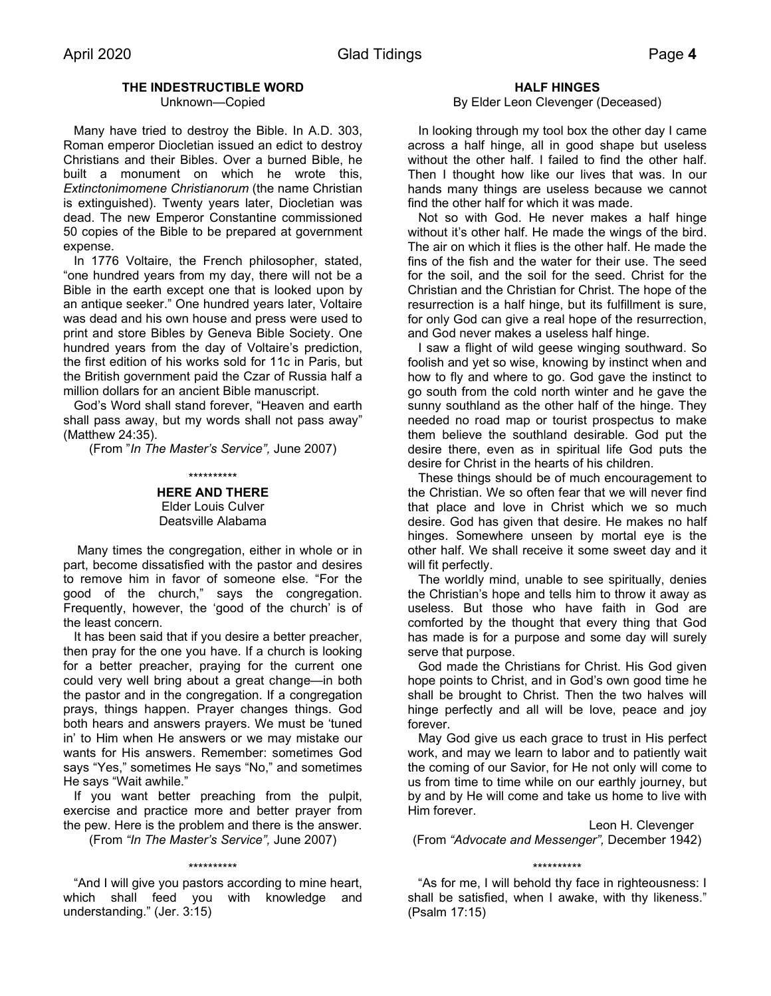# **THE INDESTRUCTIBLE WORD**

Unknown—Copied

 Many have tried to destroy the Bible. In A.D. 303, Roman emperor Diocletian issued an edict to destroy Christians and their Bibles. Over a burned Bible, he built a monument on which he wrote this, *Extinctonimomene Christianorum* (the name Christian is extinguished). Twenty years later, Diocletian was dead. The new Emperor Constantine commissioned 50 copies of the Bible to be prepared at government expense.

 In 1776 Voltaire, the French philosopher, stated, "one hundred years from my day, there will not be a Bible in the earth except one that is looked upon by an antique seeker." One hundred years later, Voltaire was dead and his own house and press were used to print and store Bibles by Geneva Bible Society. One hundred years from the day of Voltaire's prediction, the first edition of his works sold for 11c in Paris, but the British government paid the Czar of Russia half a million dollars for an ancient Bible manuscript.

 God's Word shall stand forever, "Heaven and earth shall pass away, but my words shall not pass away" (Matthew 24:35).

(From "*In The Master's Service",* June 2007)

#### \*\*\*\*\*\*\*\*\*\*

**HERE AND THERE** Elder Louis Culver Deatsville Alabama

 Many times the congregation, either in whole or in part, become dissatisfied with the pastor and desires to remove him in favor of someone else. "For the good of the church," says the congregation. Frequently, however, the 'good of the church' is of the least concern.

 It has been said that if you desire a better preacher, then pray for the one you have. If a church is looking for a better preacher, praying for the current one could very well bring about a great change—in both the pastor and in the congregation. If a congregation prays, things happen. Prayer changes things. God both hears and answers prayers. We must be 'tuned in' to Him when He answers or we may mistake our wants for His answers. Remember: sometimes God says "Yes," sometimes He says "No," and sometimes He says "Wait awhile."

 If you want better preaching from the pulpit, exercise and practice more and better prayer from the pew. Here is the problem and there is the answer.

(From *"In The Master's Service",* June 2007) \*\*\*\*\*\*\*\*\*\*

 "And I will give you pastors according to mine heart, which shall feed you with knowledge and understanding." (Jer. 3:15)

#### **HALF HINGES**

#### By Elder Leon Clevenger (Deceased)

 In looking through my tool box the other day I came across a half hinge, all in good shape but useless without the other half. I failed to find the other half. Then I thought how like our lives that was. In our hands many things are useless because we cannot find the other half for which it was made.

 Not so with God. He never makes a half hinge without it's other half. He made the wings of the bird. The air on which it flies is the other half. He made the fins of the fish and the water for their use. The seed for the soil, and the soil for the seed. Christ for the Christian and the Christian for Christ. The hope of the resurrection is a half hinge, but its fulfillment is sure, for only God can give a real hope of the resurrection, and God never makes a useless half hinge.

 I saw a flight of wild geese winging southward. So foolish and yet so wise, knowing by instinct when and how to fly and where to go. God gave the instinct to go south from the cold north winter and he gave the sunny southland as the other half of the hinge. They needed no road map or tourist prospectus to make them believe the southland desirable. God put the desire there, even as in spiritual life God puts the desire for Christ in the hearts of his children.

 These things should be of much encouragement to the Christian. We so often fear that we will never find that place and love in Christ which we so much desire. God has given that desire. He makes no half hinges. Somewhere unseen by mortal eye is the other half. We shall receive it some sweet day and it will fit perfectly.

 The worldly mind, unable to see spiritually, denies the Christian's hope and tells him to throw it away as useless. But those who have faith in God are comforted by the thought that every thing that God has made is for a purpose and some day will surely serve that purpose.

 God made the Christians for Christ. His God given hope points to Christ, and in God's own good time he shall be brought to Christ. Then the two halves will hinge perfectly and all will be love, peace and joy forever.

 May God give us each grace to trust in His perfect work, and may we learn to labor and to patiently wait the coming of our Savior, for He not only will come to us from time to time while on our earthly journey, but by and by He will come and take us home to live with Him forever.

Leon H. Clevenger (From *"Advocate and Messenger",* December 1942)

# \*\*\*\*\*\*\*\*\*\*

 "As for me, I will behold thy face in righteousness: I shall be satisfied, when I awake, with thy likeness." (Psalm 17:15)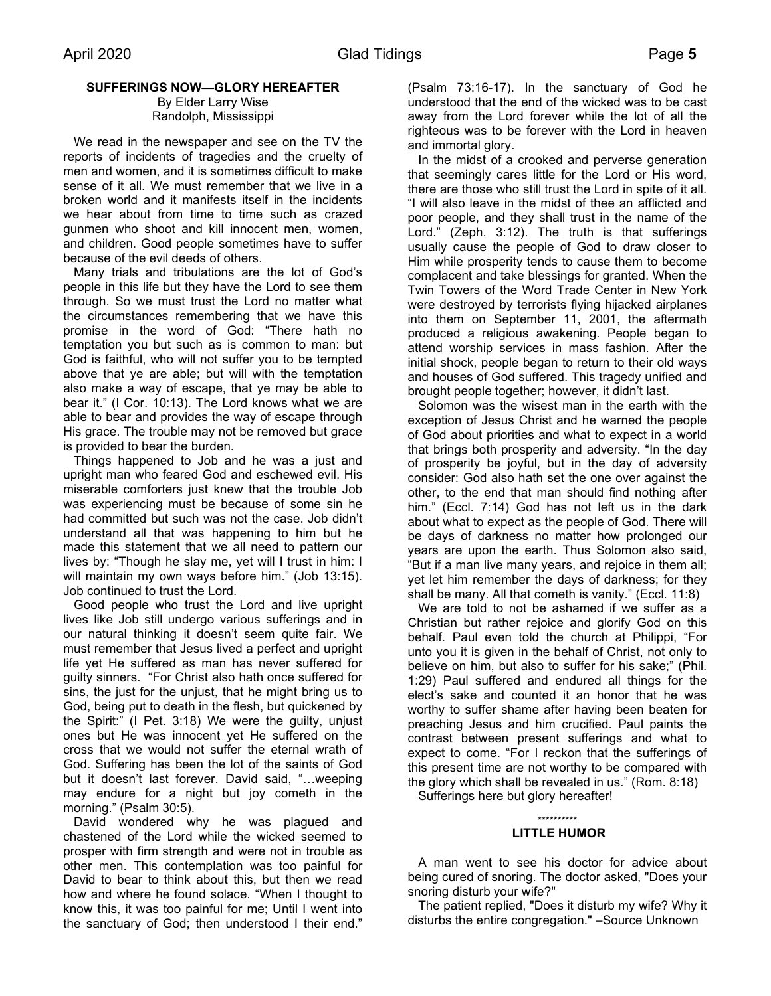# **SUFFERINGS NOW—GLORY HEREAFTER**

By Elder Larry Wise Randolph, Mississippi

 We read in the newspaper and see on the TV the reports of incidents of tragedies and the cruelty of men and women, and it is sometimes difficult to make sense of it all. We must remember that we live in a broken world and it manifests itself in the incidents we hear about from time to time such as crazed gunmen who shoot and kill innocent men, women, and children. Good people sometimes have to suffer because of the evil deeds of others.

 Many trials and tribulations are the lot of God's people in this life but they have the Lord to see them through. So we must trust the Lord no matter what the circumstances remembering that we have this promise in the word of God: "There hath no temptation you but such as is common to man: but God is faithful, who will not suffer you to be tempted above that ye are able; but will with the temptation also make a way of escape, that ye may be able to bear it." (I Cor. 10:13). The Lord knows what we are able to bear and provides the way of escape through His grace. The trouble may not be removed but grace is provided to bear the burden.

 Things happened to Job and he was a just and upright man who feared God and eschewed evil. His miserable comforters just knew that the trouble Job was experiencing must be because of some sin he had committed but such was not the case. Job didn't understand all that was happening to him but he made this statement that we all need to pattern our lives by: "Though he slay me, yet will I trust in him: I will maintain my own ways before him." (Job 13:15). Job continued to trust the Lord.

 Good people who trust the Lord and live upright lives like Job still undergo various sufferings and in our natural thinking it doesn't seem quite fair. We must remember that Jesus lived a perfect and upright life yet He suffered as man has never suffered for guilty sinners. "For Christ also hath once suffered for sins, the just for the unjust, that he might bring us to God, being put to death in the flesh, but quickened by the Spirit:" (I Pet. 3:18) We were the guilty, unjust ones but He was innocent yet He suffered on the cross that we would not suffer the eternal wrath of God. Suffering has been the lot of the saints of God but it doesn't last forever. David said, "…weeping may endure for a night but joy cometh in the morning." (Psalm 30:5).

 David wondered why he was plagued and chastened of the Lord while the wicked seemed to prosper with firm strength and were not in trouble as other men. This contemplation was too painful for David to bear to think about this, but then we read how and where he found solace. "When I thought to know this, it was too painful for me; Until I went into the sanctuary of God; then understood I their end."

(Psalm 73:16-17). In the sanctuary of God he understood that the end of the wicked was to be cast away from the Lord forever while the lot of all the righteous was to be forever with the Lord in heaven and immortal glory.

 In the midst of a crooked and perverse generation that seemingly cares little for the Lord or His word, there are those who still trust the Lord in spite of it all. "I will also leave in the midst of thee an afflicted and poor people, and they shall trust in the name of the Lord." (Zeph. 3:12). The truth is that sufferings usually cause the people of God to draw closer to Him while prosperity tends to cause them to become complacent and take blessings for granted. When the Twin Towers of the Word Trade Center in New York were destroyed by terrorists flying hijacked airplanes into them on September 11, 2001, the aftermath produced a religious awakening. People began to attend worship services in mass fashion. After the initial shock, people began to return to their old ways and houses of God suffered. This tragedy unified and brought people together; however, it didn't last.

 Solomon was the wisest man in the earth with the exception of Jesus Christ and he warned the people of God about priorities and what to expect in a world that brings both prosperity and adversity. "In the day of prosperity be joyful, but in the day of adversity consider: God also hath set the one over against the other, to the end that man should find nothing after him." (Eccl. 7:14) God has not left us in the dark about what to expect as the people of God. There will be days of darkness no matter how prolonged our years are upon the earth. Thus Solomon also said, "But if a man live many years, and rejoice in them all; yet let him remember the days of darkness; for they shall be many. All that cometh is vanity." (Eccl. 11:8)

 We are told to not be ashamed if we suffer as a Christian but rather rejoice and glorify God on this behalf. Paul even told the church at Philippi, "For unto you it is given in the behalf of Christ, not only to believe on him, but also to suffer for his sake;" (Phil. 1:29) Paul suffered and endured all things for the elect's sake and counted it an honor that he was worthy to suffer shame after having been beaten for preaching Jesus and him crucified. Paul paints the contrast between present sufferings and what to expect to come. "For I reckon that the sufferings of this present time are not worthy to be compared with the glory which shall be revealed in us." (Rom. 8:18)

Sufferings here but glory hereafter!

#### \*\*\*\*\*\*\*\*\*\* **LITTLE HUMOR**

 A man went to see his doctor for advice about being cured of snoring. The doctor asked, "Does your snoring disturb your wife?"

 The patient replied, "Does it disturb my wife? Why it disturbs the entire congregation." –Source Unknown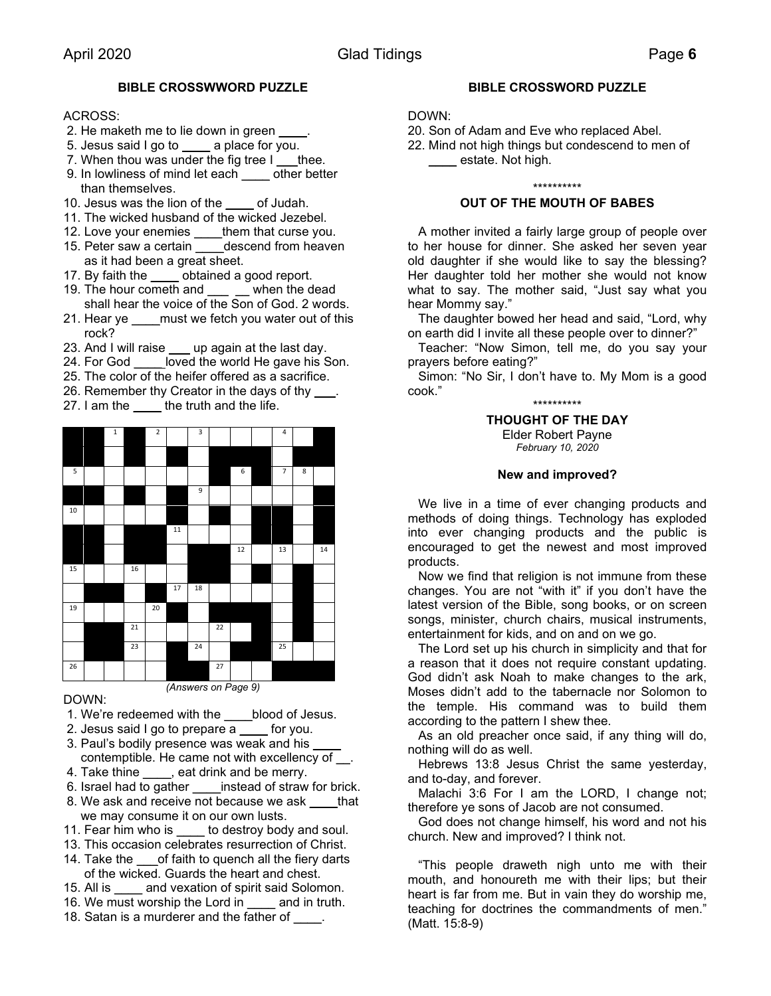# **BIBLE CROSSWWORD PUZZLE**

# ACROSS:

- 2. He maketh me to lie down in green
- 5. Jesus said I go to \_\_\_\_ a place for you.
- 7. When thou was under the fig tree  $I_$  thee.
- 9. In lowliness of mind let each other better than themselves.
- 10. Jesus was the lion of the correct of Judah.
- 11. The wicked husband of the wicked Jezebel.
- 12. Love your enemies \_\_\_\_them that curse you.
- 15. Peter saw a certain \_\_\_\_descend from heaven as it had been a great sheet.
- 17. By faith the \_\_\_\_ obtained a good report.
- 19. The hour cometh and \_\_\_ \_\_ when the dead shall hear the voice of the Son of God. 2 words.
- 21. Hear ye must we fetch you water out of this rock?
- 23. And I will raise <u>yeup</u> again at the last day.
- 24. For God loved the world He gave his Son.
- 25. The color of the heifer offered as a sacrifice.
- 26. Remember thy Creator in the days of thy \_\_\_.
- 27. I am the truth and the life.



# DOWN:

- 1. We're redeemed with the \_\_\_\_blood of Jesus.
- 2. Jesus said I go to prepare  $\overline{a}$  for you.
- 3. Paul's bodily presence was weak and his contemptible. He came not with excellency of \_\_.
- 4. Take thine , eat drink and be merry.
- 6. Israel had to gather instead of straw for brick.
- 8. We ask and receive not because we ask \_\_\_\_that we may consume it on our own lusts.
- 11. Fear him who is \_\_\_\_ to destroy body and soul.
- 13. This occasion celebrates resurrection of Christ.
- 14. Take the of faith to quench all the fiery darts of the wicked. Guards the heart and chest.
- 15. All is and vexation of spirit said Solomon.
- 16. We must worship the Lord in early and in truth.
- 18. Satan is a murderer and the father of \_\_\_\_.

# **BIBLE CROSSWORD PUZZLE**

## DOWN:

- 20. Son of Adam and Eve who replaced Abel.
	- 22. Mind not high things but condescend to men of **\_\_\_\_\_** estate. Not high.

#### \*\*\*\*\*\*\*\*\*\*

## **OUT OF THE MOUTH OF BABES**

 A mother invited a fairly large group of people over to her house for dinner. She asked her seven year old daughter if she would like to say the blessing? Her daughter told her mother she would not know what to say. The mother said, "Just say what you hear Mommy say."

 The daughter bowed her head and said, "Lord, why on earth did I invite all these people over to dinner?"

 Teacher: "Now Simon, tell me, do you say your prayers before eating?"

 Simon: "No Sir, I don't have to. My Mom is a good cook."

\*\*\*\*\*\*\*\*\*\*

**THOUGHT OF THE DAY** Elder Robert Payne *February 10, 2020*

#### **New and improved?**

 We live in a time of ever changing products and methods of doing things. Technology has exploded into ever changing products and the public is encouraged to get the newest and most improved products.

 Now we find that religion is not immune from these changes. You are not "with it" if you don't have the latest version of the Bible, song books, or on screen songs, minister, church chairs, musical instruments, entertainment for kids, and on and on we go.

 The Lord set up his church in simplicity and that for a reason that it does not require constant updating. God didn't ask Noah to make changes to the ark, Moses didn't add to the tabernacle nor Solomon to the temple. His command was to build them according to the pattern I shew thee.

 As an old preacher once said, if any thing will do, nothing will do as well.

 Hebrews 13:8 Jesus Christ the same yesterday, and to-day, and forever.

 Malachi 3:6 For I am the LORD, I change not; therefore ye sons of Jacob are not consumed.

 God does not change himself, his word and not his church. New and improved? I think not.

 "This people draweth nigh unto me with their mouth, and honoureth me with their lips; but their heart is far from me. But in vain they do worship me, teaching for doctrines the commandments of men." (Matt. 15:8-9)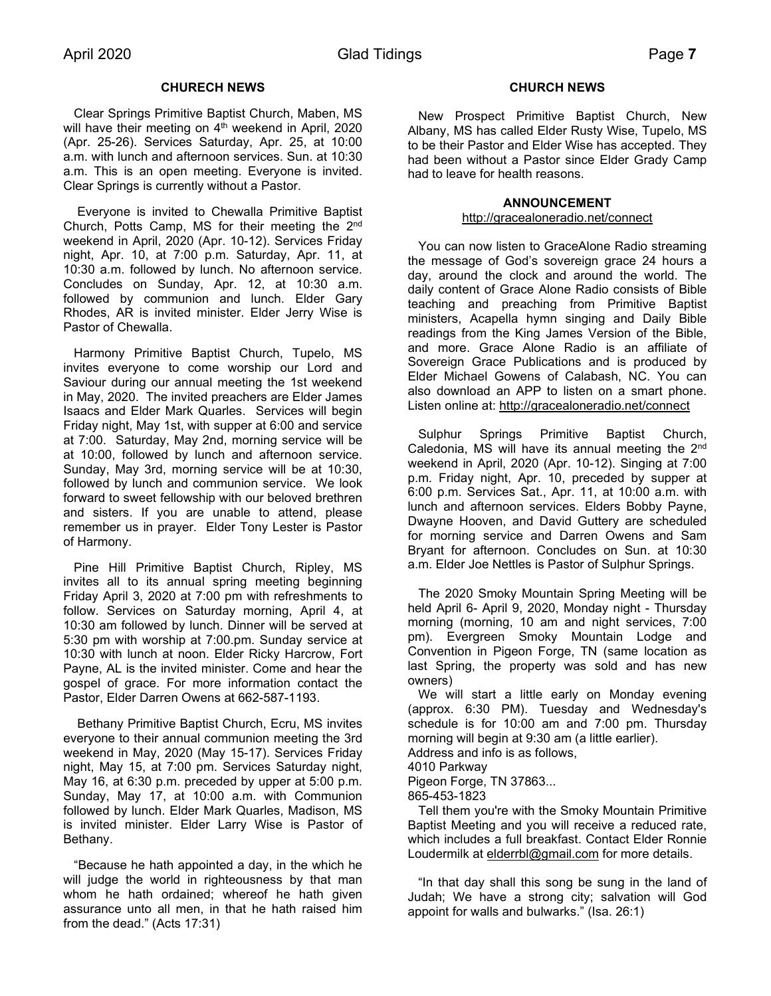# **CHURECH NEWS**

 Clear Springs Primitive Baptist Church, Maben, MS will have their meeting on 4<sup>th</sup> weekend in April, 2020 (Apr. 25-26). Services Saturday, Apr. 25, at 10:00 a.m. with lunch and afternoon services. Sun. at 10:30 a.m. This is an open meeting. Everyone is invited. Clear Springs is currently without a Pastor.

 Everyone is invited to Chewalla Primitive Baptist Church, Potts Camp, MS for their meeting the 2nd weekend in April, 2020 (Apr. 10-12). Services Friday night, Apr. 10, at 7:00 p.m. Saturday, Apr. 11, at 10:30 a.m. followed by lunch. No afternoon service. Concludes on Sunday, Apr. 12, at 10:30 a.m. followed by communion and lunch. Elder Gary Rhodes, AR is invited minister. Elder Jerry Wise is Pastor of Chewalla.

 Harmony Primitive Baptist Church, Tupelo, MS invites everyone to come worship our Lord and Saviour during our annual meeting the 1st weekend in May, 2020. The invited preachers are Elder James Isaacs and Elder Mark Quarles. Services will begin Friday night, May 1st, with supper at 6:00 and service at 7:00. Saturday, May 2nd, morning service will be at 10:00, followed by lunch and afternoon service. Sunday, May 3rd, morning service will be at 10:30, followed by lunch and communion service. We look forward to sweet fellowship with our beloved brethren and sisters. If you are unable to attend, please remember us in prayer. Elder Tony Lester is Pastor of Harmony.

 Pine Hill Primitive Baptist Church, Ripley, MS invites all to its annual spring meeting beginning Friday April 3, 2020 at 7:00 pm with refreshments to follow. Services on Saturday morning, April 4, at 10:30 am followed by lunch. Dinner will be served at 5:30 pm with worship at 7:00.pm. Sunday service at 10:30 with lunch at noon. Elder Ricky Harcrow, Fort Payne, AL is the invited minister. Come and hear the gospel of grace. For more information contact the Pastor, Elder Darren Owens at 662-587-1193.

 Bethany Primitive Baptist Church, Ecru, MS invites everyone to their annual communion meeting the 3rd weekend in May, 2020 (May 15-17). Services Friday night, May 15, at 7:00 pm. Services Saturday night, May 16, at 6:30 p.m. preceded by upper at 5:00 p.m. Sunday, May 17, at 10:00 a.m. with Communion followed by lunch. Elder Mark Quarles, Madison, MS is invited minister. Elder Larry Wise is Pastor of Bethany.

 "Because he hath appointed a day, in the which he will judge the world in righteousness by that man whom he hath ordained; whereof he hath given assurance unto all men, in that he hath raised him from the dead." (Acts 17:31)

#### **CHURCH NEWS**

 New Prospect Primitive Baptist Church, New Albany, MS has called Elder Rusty Wise, Tupelo, MS to be their Pastor and Elder Wise has accepted. They had been without a Pastor since Elder Grady Camp had to leave for health reasons.

#### **ANNOUNCEMENT**

#### <http://gracealoneradio.net/connect>

 You can now listen to GraceAlone Radio streaming the message of God's sovereign grace 24 hours a day, around the clock and around the world. The daily content of Grace Alone Radio consists of Bible teaching and preaching from Primitive Baptist ministers, Acapella hymn singing and Daily Bible readings from the King James Version of the Bible, and more. Grace Alone Radio is an affiliate of Sovereign Grace Publications and is produced by Elder Michael Gowens of Calabash, NC. You can also download an APP to listen on a smart phone. Listen online at:<http://gracealoneradio.net/connect>

 Sulphur Springs Primitive Baptist Church, Caledonia, MS will have its annual meeting the 2<sup>nd</sup> weekend in April, 2020 (Apr. 10-12). Singing at 7:00 p.m. Friday night, Apr. 10, preceded by supper at 6:00 p.m. Services Sat., Apr. 11, at 10:00 a.m. with lunch and afternoon services. Elders Bobby Payne, Dwayne Hooven, and David Guttery are scheduled for morning service and Darren Owens and Sam Bryant for afternoon. Concludes on Sun. at 10:30 a.m. Elder Joe Nettles is Pastor of Sulphur Springs.

 The 2020 Smoky Mountain Spring Meeting will be held April 6- April 9, 2020, Monday night - Thursday morning (morning, 10 am and night services, 7:00 pm). Evergreen Smoky Mountain Lodge and Convention in Pigeon Forge, TN (same location as last Spring, the property was sold and has new owners)

 We will start a little early on Monday evening (approx. 6:30 PM). Tuesday and Wednesday's schedule is for 10:00 am and 7:00 pm. Thursday morning will begin at 9:30 am (a little earlier).

Address and info is as follows,

4010 Parkway

Pigeon Forge, TN 37863...

865-453-1823

 Tell them you're with the Smoky Mountain Primitive Baptist Meeting and you will receive a reduced rate, which includes a full breakfast. Contact Elder Ronnie Loudermilk at [elderrbl@gmail.com](mailto:elderrbl@gmail.com) for more details.

 "In that day shall this song be sung in the land of Judah; We have a strong city; salvation will God appoint for walls and bulwarks." (Isa. 26:1)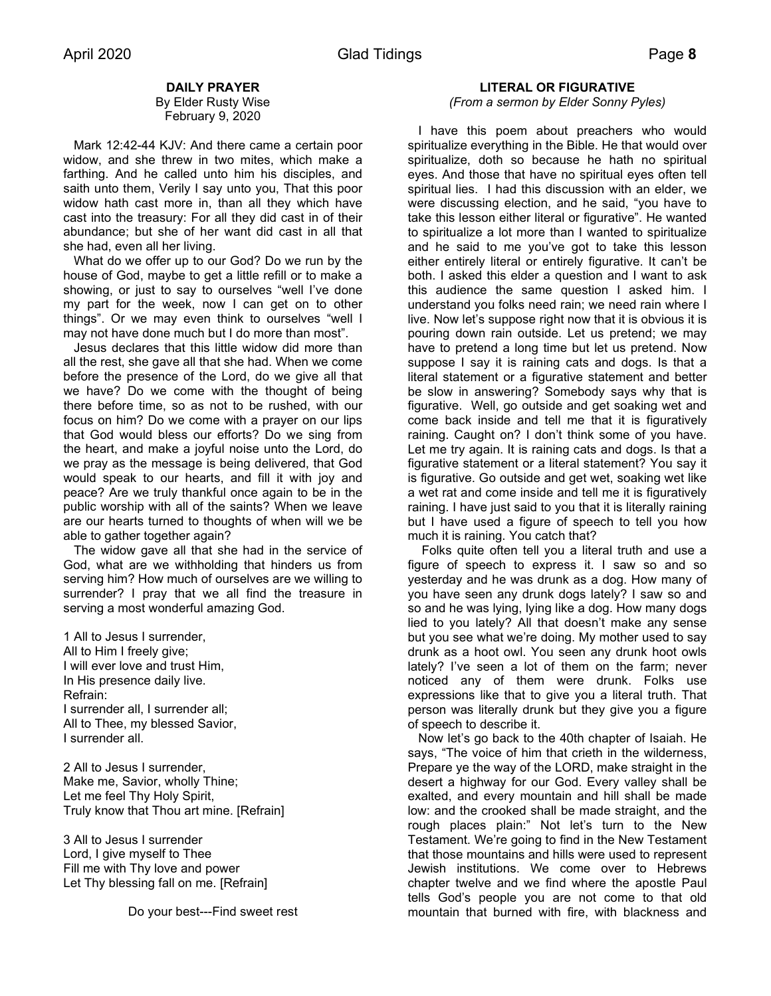# **DAILY PRAYER**

By Elder Rusty Wise February 9, 2020

 Mark 12:42-44 KJV: And there came a certain poor widow, and she threw in two mites, which make a farthing. And he called unto him his disciples, and saith unto them, Verily I say unto you, That this poor widow hath cast more in, than all they which have cast into the treasury: For all they did cast in of their abundance; but she of her want did cast in all that she had, even all her living.

 What do we offer up to our God? Do we run by the house of God, maybe to get a little refill or to make a showing, or just to say to ourselves "well I've done my part for the week, now I can get on to other things". Or we may even think to ourselves "well I may not have done much but I do more than most".

 Jesus declares that this little widow did more than all the rest, she gave all that she had. When we come before the presence of the Lord, do we give all that we have? Do we come with the thought of being there before time, so as not to be rushed, with our focus on him? Do we come with a prayer on our lips that God would bless our efforts? Do we sing from the heart, and make a joyful noise unto the Lord, do we pray as the message is being delivered, that God would speak to our hearts, and fill it with joy and peace? Are we truly thankful once again to be in the public worship with all of the saints? When we leave are our hearts turned to thoughts of when will we be able to gather together again?

 The widow gave all that she had in the service of God, what are we withholding that hinders us from serving him? How much of ourselves are we willing to surrender? I pray that we all find the treasure in serving a most wonderful amazing God.

1 All to Jesus I surrender, All to Him I freely give; I will ever love and trust Him, In His presence daily live. Refrain: I surrender all, I surrender all; All to Thee, my blessed Savior, I surrender all.

2 All to Jesus I surrender, Make me, Savior, wholly Thine; Let me feel Thy Holy Spirit, Truly know that Thou art mine. [Refrain]

3 All to Jesus I surrender Lord, I give myself to Thee Fill me with Thy love and power Let Thy blessing fall on me. [Refrain]

# **LITERAL OR FIGURATIVE**

# *(From a sermon by Elder Sonny Pyles)*

 I have this poem about preachers who would spiritualize everything in the Bible. He that would over spiritualize, doth so because he hath no spiritual eyes. And those that have no spiritual eyes often tell spiritual lies. I had this discussion with an elder, we were discussing election, and he said, "you have to take this lesson either literal or figurative". He wanted to spiritualize a lot more than I wanted to spiritualize and he said to me you've got to take this lesson either entirely literal or entirely figurative. It can't be both. I asked this elder a question and I want to ask this audience the same question I asked him. I understand you folks need rain; we need rain where I live. Now let's suppose right now that it is obvious it is pouring down rain outside. Let us pretend; we may have to pretend a long time but let us pretend. Now suppose I say it is raining cats and dogs. Is that a literal statement or a figurative statement and better be slow in answering? Somebody says why that is figurative. Well, go outside and get soaking wet and come back inside and tell me that it is figuratively raining. Caught on? I don't think some of you have. Let me try again. It is raining cats and dogs. Is that a figurative statement or a literal statement? You say it is figurative. Go outside and get wet, soaking wet like a wet rat and come inside and tell me it is figuratively raining. I have just said to you that it is literally raining but I have used a figure of speech to tell you how much it is raining. You catch that?

 Folks quite often tell you a literal truth and use a figure of speech to express it. I saw so and so yesterday and he was drunk as a dog. How many of you have seen any drunk dogs lately? I saw so and so and he was lying, lying like a dog. How many dogs lied to you lately? All that doesn't make any sense but you see what we're doing. My mother used to say drunk as a hoot owl. You seen any drunk hoot owls lately? I've seen a lot of them on the farm; never noticed any of them were drunk. Folks use expressions like that to give you a literal truth. That person was literally drunk but they give you a figure of speech to describe it.

 Now let's go back to the 40th chapter of Isaiah. He says, "The voice of him that crieth in the wilderness, Prepare ye the way of the LORD, make straight in the desert a highway for our God. Every valley shall be exalted, and every mountain and hill shall be made low: and the crooked shall be made straight, and the rough places plain:" Not let's turn to the New Testament. We're going to find in the New Testament that those mountains and hills were used to represent Jewish institutions. We come over to Hebrews chapter twelve and we find where the apostle Paul tells God's people you are not come to that old mountain that burned with fire, with blackness and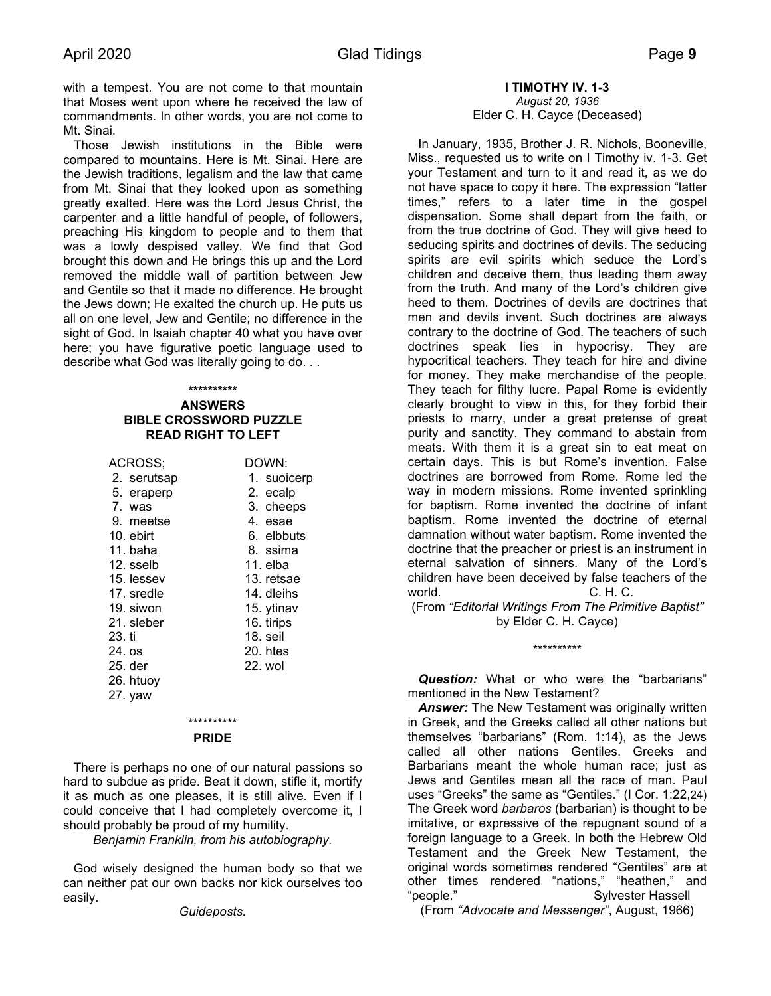with a tempest. You are not come to that mountain that Moses went upon where he received the law of commandments. In other words, you are not come to Mt. Sinai.

 Those Jewish institutions in the Bible were compared to mountains. Here is Mt. Sinai. Here are the Jewish traditions, legalism and the law that came from Mt. Sinai that they looked upon as something greatly exalted. Here was the Lord Jesus Christ, the carpenter and a little handful of people, of followers, preaching His kingdom to people and to them that was a lowly despised valley. We find that God brought this down and He brings this up and the Lord removed the middle wall of partition between Jew and Gentile so that it made no difference. He brought the Jews down; He exalted the church up. He puts us all on one level, Jew and Gentile; no difference in the sight of God. In Isaiah chapter 40 what you have over here; you have figurative poetic language used to describe what God was literally going to do. . .

#### **\*\*\*\*\*\*\*\*\*\***

#### **ANSWERS BIBLE CROSSWORD PUZZLE READ RIGHT TO LEFT**

| ACROSS;     | DOWN:       |
|-------------|-------------|
| 2. serutsap | 1. suoicerp |
| 5. eraperp  | 2. ecalp    |
| 7. was      | 3. cheeps   |
| 9. meetse   | 4. esae     |
| 10. ebirt   | 6. elbbuts  |
| 11. baha    | 8. ssima    |
| 12. sselb   | 11. elba    |
| 15. lessev  | 13. retsae  |
| 17. sredle  | 14. dleihs  |
| 19. siwon   | 15. ytinav  |
| 21. sleber  | 16. tirips  |
| 23. ti      | 18. seil    |
| 24. os      | 20. htes    |
| 25. der     | 22. wol     |
| 26. htuoy   |             |
| 27. yaw     |             |
|             |             |

#### \*\*\*\*\*\*\*\*\*\* **PRIDE**

 There is perhaps no one of our natural passions so hard to subdue as pride. Beat it down, stifle it, mortify it as much as one pleases, it is still alive. Even if I could conceive that I had completely overcome it, I should probably be proud of my humility.

*Benjamin Franklin, from his autobiography.*

 God wisely designed the human body so that we can neither pat our own backs nor kick ourselves too easily.

*Guideposts.*

**I TIMOTHY IV. 1-3** *August 20, 1936* Elder C. H. Cayce (Deceased)

 In January, 1935, Brother J. R. Nichols, Booneville, Miss., requested us to write on I Timothy iv. 1-3. Get your Testament and turn to it and read it, as we do not have space to copy it here. The expression "latter times," refers to a later time in the gospel dispensation. Some shall depart from the faith, or from the true doctrine of God. They will give heed to seducing spirits and doctrines of devils. The seducing spirits are evil spirits which seduce the Lord's children and deceive them, thus leading them away from the truth. And many of the Lord's children give heed to them. Doctrines of devils are doctrines that men and devils invent. Such doctrines are always contrary to the doctrine of God. The teachers of such doctrines speak lies in hypocrisy. They are hypocritical teachers. They teach for hire and divine for money. They make merchandise of the people. They teach for filthy lucre. Papal Rome is evidently clearly brought to view in this, for they forbid their priests to marry, under a great pretense of great purity and sanctity. They command to abstain from meats. With them it is a great sin to eat meat on certain days. This is but Rome's invention. False doctrines are borrowed from Rome. Rome led the way in modern missions. Rome invented sprinkling for baptism. Rome invented the doctrine of infant baptism. Rome invented the doctrine of eternal damnation without water baptism. Rome invented the doctrine that the preacher or priest is an instrument in eternal salvation of sinners. Many of the Lord's children have been deceived by false teachers of the world. C. H. C.

(From *"Editorial Writings From The Primitive Baptist"* by Elder C. H. Cayce)

\*\*\*\*\*\*\*\*\*\*

 *Question:* What or who were the "barbarians" mentioned in the New Testament?

**Answer:** The New Testament was originally written in Greek, and the Greeks called all other nations but themselves "barbarians" (Rom. 1:14), as the Jews called all other nations Gentiles. Greeks and Barbarians meant the whole human race; just as Jews and Gentiles mean all the race of man. Paul uses "Greeks" the same as "Gentiles." (I Cor. 1:22,24) The Greek word *barbaros* (barbarian) is thought to be imitative, or expressive of the repugnant sound of a foreign language to a Greek. In both the Hebrew Old Testament and the Greek New Testament, the original words sometimes rendered "Gentiles" are at other times rendered "nations," "heathen," and "people." Sylvester Hassell

(From *"Advocate and Messenger"*, August, 1966)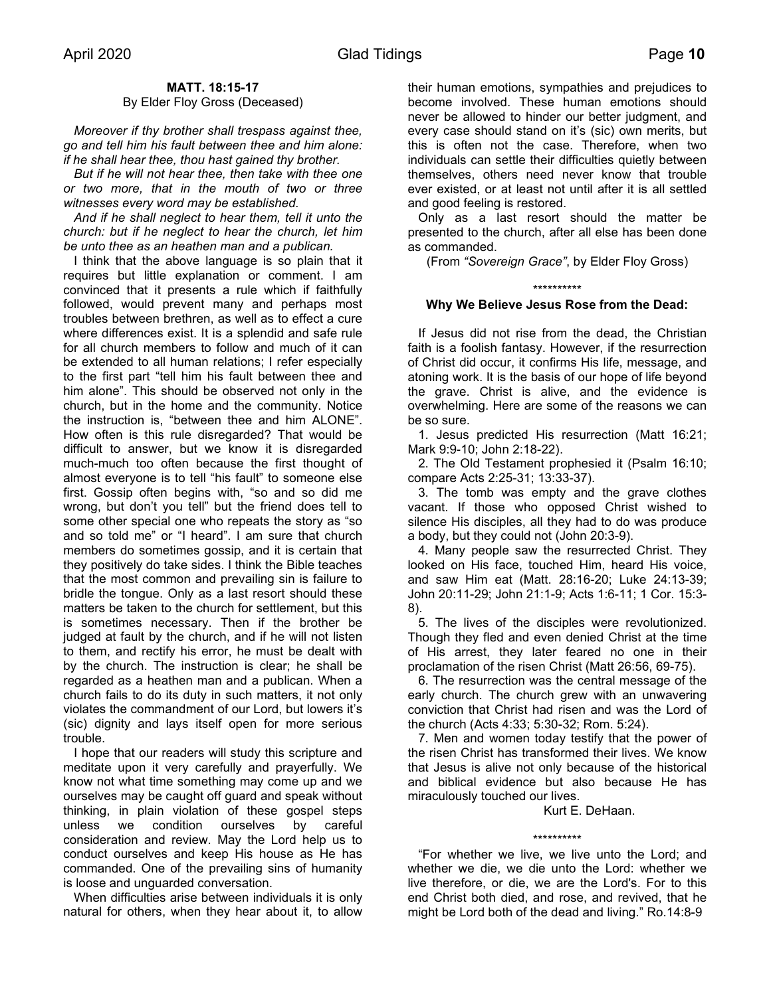# **MATT. 18:15-17**

### By Elder Floy Gross (Deceased)

 *Moreover if thy brother shall trespass against thee, go and tell him his fault between thee and him alone: if he shall hear thee, thou hast gained thy brother.*

 *But if he will not hear thee, then take with thee one or two more, that in the mouth of two or three witnesses every word may be established.*

 *And if he shall neglect to hear them, tell it unto the church: but if he neglect to hear the church, let him be unto thee as an heathen man and a publican.*

 I think that the above language is so plain that it requires but little explanation or comment. I am convinced that it presents a rule which if faithfully followed, would prevent many and perhaps most troubles between brethren, as well as to effect a cure where differences exist. It is a splendid and safe rule for all church members to follow and much of it can be extended to all human relations; I refer especially to the first part "tell him his fault between thee and him alone". This should be observed not only in the church, but in the home and the community. Notice the instruction is, "between thee and him ALONE". How often is this rule disregarded? That would be difficult to answer, but we know it is disregarded much-much too often because the first thought of almost everyone is to tell "his fault" to someone else first. Gossip often begins with, "so and so did me wrong, but don't you tell" but the friend does tell to some other special one who repeats the story as "so and so told me" or "I heard". I am sure that church members do sometimes gossip, and it is certain that they positively do take sides. I think the Bible teaches that the most common and prevailing sin is failure to bridle the tongue. Only as a last resort should these matters be taken to the church for settlement, but this is sometimes necessary. Then if the brother be judged at fault by the church, and if he will not listen to them, and rectify his error, he must be dealt with by the church. The instruction is clear; he shall be regarded as a heathen man and a publican. When a church fails to do its duty in such matters, it not only violates the commandment of our Lord, but lowers it's (sic) dignity and lays itself open for more serious trouble.

 I hope that our readers will study this scripture and meditate upon it very carefully and prayerfully. We know not what time something may come up and we ourselves may be caught off guard and speak without thinking, in plain violation of these gospel steps unless we condition ourselves by careful consideration and review. May the Lord help us to conduct ourselves and keep His house as He has commanded. One of the prevailing sins of humanity is loose and unguarded conversation.

 When difficulties arise between individuals it is only natural for others, when they hear about it, to allow their human emotions, sympathies and prejudices to become involved. These human emotions should never be allowed to hinder our better judgment, and every case should stand on it's (sic) own merits, but this is often not the case. Therefore, when two individuals can settle their difficulties quietly between themselves, others need never know that trouble ever existed, or at least not until after it is all settled and good feeling is restored.

 Only as a last resort should the matter be presented to the church, after all else has been done as commanded.

(From *"Sovereign Grace"*, by Elder Floy Gross)

#### \*\*\*\*\*\*\*\*\*\*

# **Why We Believe Jesus Rose from the Dead:**

 If Jesus did not rise from the dead, the Christian faith is a foolish fantasy. However, if the resurrection of Christ did occur, it confirms His life, message, and atoning work. It is the basis of our hope of life beyond the grave. Christ is alive, and the evidence is overwhelming. Here are some of the reasons we can be so sure.

 1. Jesus predicted His resurrection (Matt 16:21; Mark 9:9-10; John 2:18-22).

 2. The Old Testament prophesied it (Psalm 16:10; compare Acts 2:25-31; 13:33-37).

 3. The tomb was empty and the grave clothes vacant. If those who opposed Christ wished to silence His disciples, all they had to do was produce a body, but they could not (John 20:3-9).

 4. Many people saw the resurrected Christ. They looked on His face, touched Him, heard His voice, and saw Him eat (Matt. 28:16-20; Luke 24:13-39; John 20:11-29; John 21:1-9; Acts 1:6-11; 1 Cor. 15:3- 8).

 5. The lives of the disciples were revolutionized. Though they fled and even denied Christ at the time of His arrest, they later feared no one in their proclamation of the risen Christ (Matt 26:56, 69-75).

 6. The resurrection was the central message of the early church. The church grew with an unwavering conviction that Christ had risen and was the Lord of the church (Acts 4:33; 5:30-32; Rom. 5:24).

 7. Men and women today testify that the power of the risen Christ has transformed their lives. We know that Jesus is alive not only because of the historical and biblical evidence but also because He has miraculously touched our lives.

Kurt E. DeHaan.

#### \*\*\*\*\*\*\*\*\*\*

 "For whether we live, we live unto the Lord; and whether we die, we die unto the Lord: whether we live therefore, or die, we are the Lord's. For to this end Christ both died, and rose, and revived, that he might be Lord both of the dead and living." Ro.14:8-9